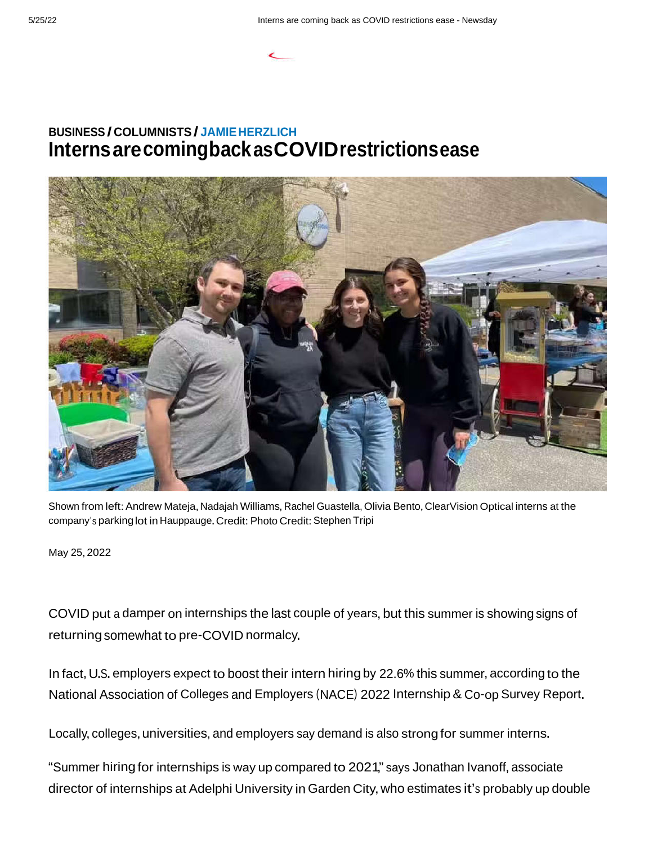## **BUSINESS / COLUMNISTS / JAMIEHERZLICH InternsarecomingbackasCOVIDrestrictionsease**



Shown from left: Andrew Mateja, Nadajah Williams, Rachel Guastella, Olivia Bento, ClearVision Optical interns at the company's parking lot in Hauppauge. Credit: Photo Credit: Stephen Tripi

May 25,2022

COVID put a damper on internships the last couple of years, but this summer is showing signs of returningsomewhat to pre-COVID normalcy.

In fact, U.S. employers expect to boost their intern hiring by 22.6% this summer, according to the National Association of Colleges and Employers (NACE) 2022 Internship& Co-op Survey Report.

Locally, colleges, universities, and employers say demand is also strong for summer interns.

"Summer hiringfor internships is way up compared to 2021," says Jonathan Ivanoff, associate director of internships at Adelphi University in Garden City, who estimates it's probably up double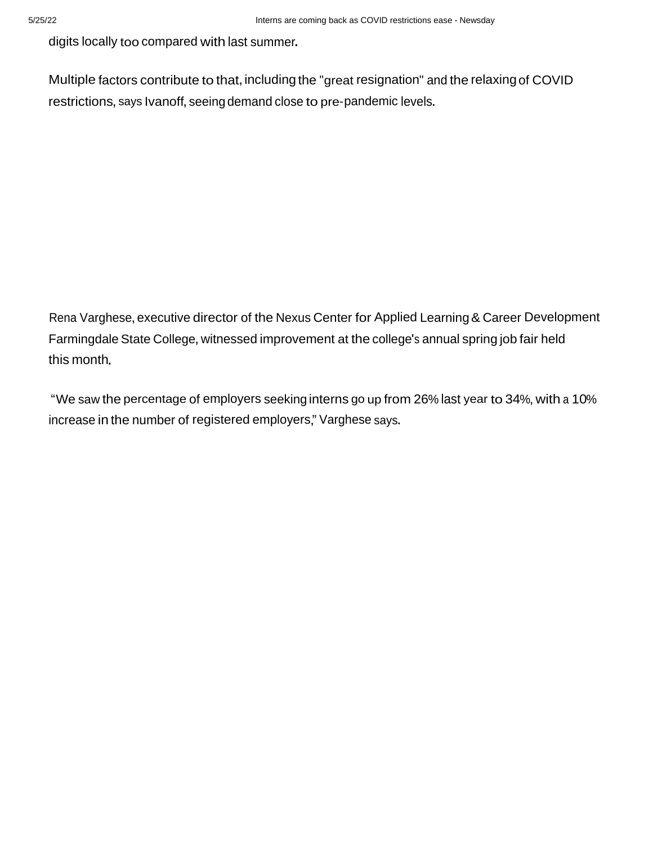digits locally too compared with last summer.

Multiple factors contribute to that, including the "great resignation" and the relaxing of COVID restrictions, says Ivanoff, seeing demand close to pre-pandemic levels.

Rena Varghese, executive director of the Nexus Center for Applied Learning & Career Development Farmingdale State College, witnessed improvement at the college's annual spring job fair held this month.

"We saw the percentage of employers seeking interns go up from 26% last year to 34%, with a 10% increase in the number of registered employers," Varghese says.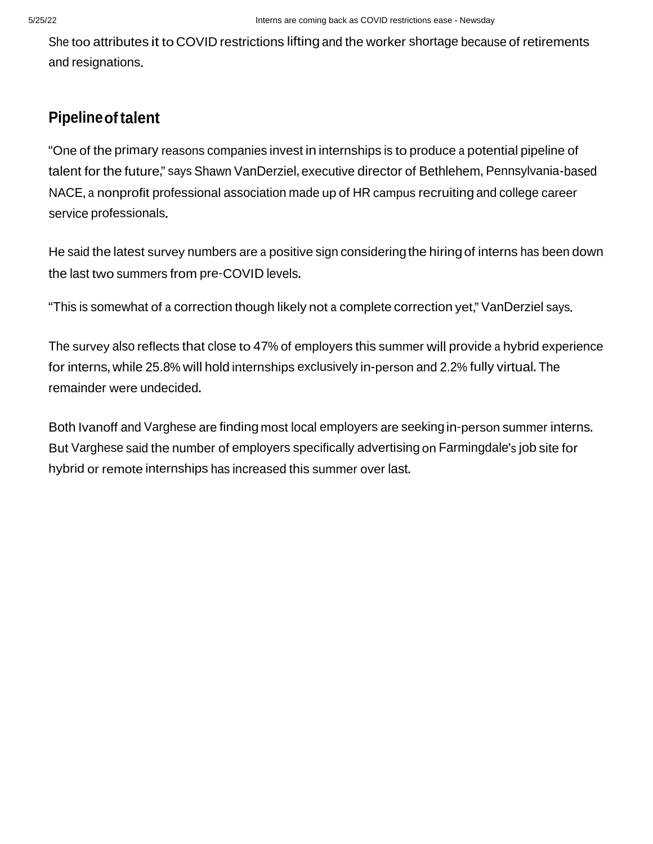She too attributes it to COVID restrictions liftingand the worker shortage because of retirements and resignations.

## **Pipelineoftalent**

"One of the primary reasons companies invest in internships is to produce a potential pipeline of talent for the future," says Shawn VanDerziel, executive director of Bethlehem, Pennsylvania-based NACE, a nonprofit professional association made up of HR campus recruiting and college career service professionals.

He said the latest survey numbers are a positive sign considering the hiring of interns has been down the last two summers from pre-COVID levels.

"This is somewhat of <sup>a</sup> correction though likely not <sup>a</sup> complete correction yet," VanDerziel says.

The survey also reflects that close to 47% of employers this summer will provide a hybrid experience for interns,while 25.8% will hold internships exclusively in-person and 2.2% fully virtual.The remainder were undecided.

Both Ivanoff and Varghese are finding most local employers are seeking in-person summer interns. But Varghese said the number of employers specifically advertising on Farmingdale's job site for hybrid or remote internships has increased this summer over last.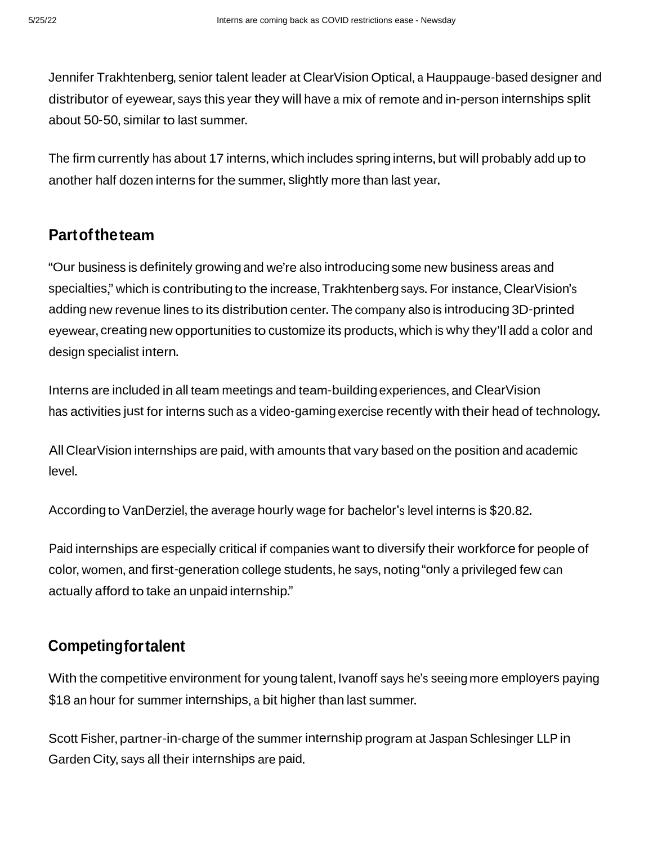Jennifer Trakhtenberg, senior talent leader at ClearVision Optical, a Hauppauge-based designer and distributor of eyewear, says this year they will have a mix of remote and in-person internships split about 50-50, similar to last summer.

The firm currently has about 17 interns, which includes spring interns, but will probably add up to another half dozen interns for the summer, slightly more than last year.

## **Partoftheteam**

"Our business is definitely growing and we're also introducingsome new business areas and specialties," which is contributing to the increase, Trakhtenberg says. For instance, ClearVision's adding new revenue lines to its distribution center.The company also is introducing 3D-printed eyewear, creating new opportunities to customize its products, which is why they'll add a color and design specialist intern.

Interns are included in all team meetings and team-buildingexperiences,and ClearVision has activities just for interns such as <sup>a</sup> video-gaming exercise recently with their head of technology.

All Clear Vision internships are paid, with amounts that vary based on the position and academic level.

According to VanDerziel, the average hourly wage for bachelor's level interns is \$20.82.

Paid internships are especially critical if companies want to diversify their workforce for people of color, women, and first-generation college students, he says, noting "only a privileged few can actually afford to take an unpaid internship."

## **Competingfortalent**

With the competitive environment for young talent, Ivanoff says he's seeing more employers paying \$18 an hour for summer internships, <sup>a</sup> bit higher than last summer.

Scott Fisher, partner-in-charge of the summer internship program at Jaspan Schlesinger LLP in Garden City, says all their internships are paid.